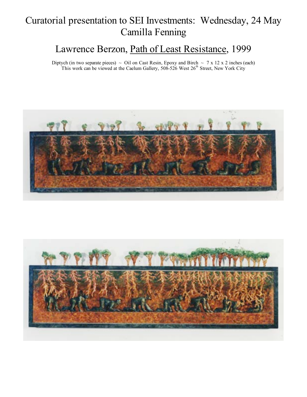# Curatorial presentation to SEI Investments: Wednesday, 24 May Camilla Fenning

### Lawrence Berzon, Path of Least Resistance, 1999

Diptych (in two separate pieces)  $\sim$  Oil on Cast Resin, Epoxy and Birch  $\sim$  7 x 12 x 2 inches (each) This work can be viewed at the Caelum Gallery,  $508-526$  West  $26<sup>th</sup>$  Street, New York City